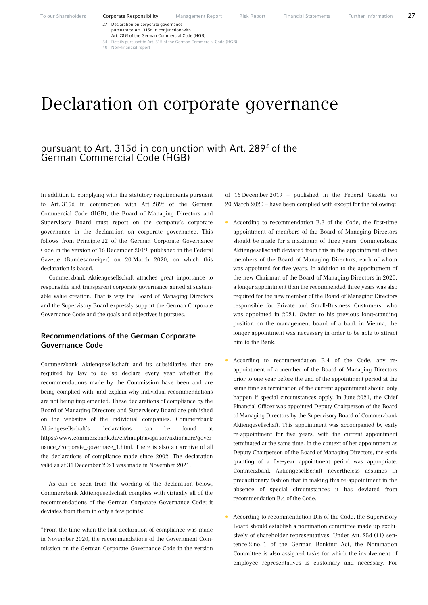27 Declaration on corporate governance

pursuant to Art. 315d in conjunction with

Art. 289f of the German Commercial Code (HGB)<br>Details pursuant to Art. 315 of the German Commercial Code (HGB) 34 Details pursuant to Art. 315 of the German Con

40 Non-financial report

# Declaration on corporate governance

## pursuant to Art. 315d in conjunction with Art. 289f of the German Commercial Code (HGB)

In addition to complying with the statutory requirements pursuant to Art. 315d in conjunction with Art. 289f of the German Commercial Code (HGB), the Board of Managing Directors and Supervisory Board must report on the company's corporate governance in the declaration on corporate governance. This follows from Principle 22 of the German Corporate Governance Code in the version of 16 December 2019, published in the Federal Gazette (Bundesanzeiger) on 20 March 2020, on which this declaration is based.

Commerzbank Aktiengesellschaft attaches great importance to responsible and transparent corporate governance aimed at sustainable value creation. That is why the Board of Managing Directors and the Supervisory Board expressly support the German Corporate Governance Code and the goals and objectives it pursues.

## Recommendations of the German Corporate Governance Code

Commerzbank Aktiengesellschaft and its subsidiaries that are required by law to do so declare every year whether the recommendations made by the Commission have been and are being complied with, and explain why individual recommendations are not being implemented. These declarations of compliance by the Board of Managing Directors and Supervisory Board are published on the websites of the individual companies. Commerzbank Aktiengesellschaft's declarations can be found at https://www.commerzbank.de/en/hauptnavigation/aktionaere/gover nance\_/corporate\_governace\_1.html. There is also an archive of all the declarations of compliance made since 2002. The declaration valid as at 31 December 2021 was made in November 2021.

As can be seen from the wording of the declaration below, Commerzbank Aktiengesellschaft complies with virtually all of the recommendations of the German Corporate Governance Code; it deviates from them in only a few points:

"From the time when the last declaration of compliance was made in November 2020, the recommendations of the Government Commission on the German Corporate Governance Code in the version

of 16 December 2019 – published in the Federal Gazette on 20 March 2020 – have been complied with except for the following:

- According to recommendation B.3 of the Code, the first-time appointment of members of the Board of Managing Directors should be made for a maximum of three years. Commerzbank Aktiengesellschaft deviated from this in the appointment of two members of the Board of Managing Directors, each of whom was appointed for five years. In addition to the appointment of the new Chairman of the Board of Managing Directors in 2020, a longer appointment than the recommended three years was also required for the new member of the Board of Managing Directors responsible for Private and Small-Business Customers, who was appointed in 2021. Owing to his previous long-standing position on the management board of a bank in Vienna, the longer appointment was necessary in order to be able to attract him to the Bank.
- According to recommendation B.4 of the Code, any reappointment of a member of the Board of Managing Directors prior to one year before the end of the appointment period at the same time as termination of the current appointment should only happen if special circumstances apply. In June 2021, the Chief Financial Officer was appointed Deputy Chairperson of the Board of Managing Directors by the Supervisory Board of Commerzbank Aktiengesellschaft. This appointment was accompanied by early re-appointment for five years, with the current appointment terminated at the same time. In the context of her appointment as Deputy Chairperson of the Board of Managing Directors, the early granting of a five-year appointment period was appropriate. Commerzbank Aktiengesellschaft nevertheless assumes in precautionary fashion that in making this re-appointment in the absence of special circumstances it has deviated from recommendation B.4 of the Code.
- According to recommendation D.5 of the Code, the Supervisory Board should establish a nomination committee made up exclusively of shareholder representatives. Under Art. 25d (11) sentence 2 no. 1 of the German Banking Act, the Nomination Committee is also assigned tasks for which the involvement of employee representatives is customary and necessary. For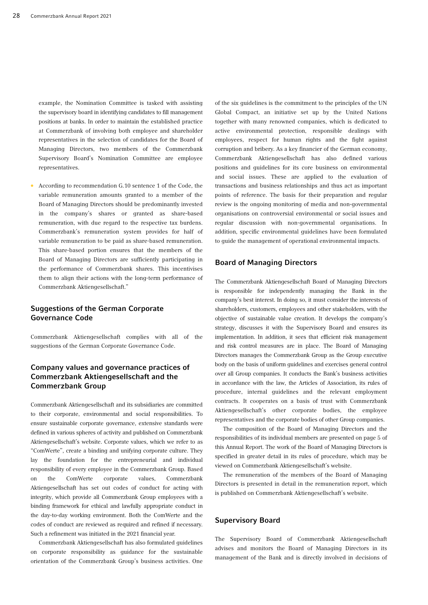example, the Nomination Committee is tasked with assisting the supervisory board in identifying candidates to fill management positions at banks. In order to maintain the established practice at Commerzbank of involving both employee and shareholder representatives in the selection of candidates for the Board of Managing Directors, two members of the Commerzbank Supervisory Board's Nomination Committee are employee representatives.

• According to recommendation G.10 sentence 1 of the Code, the variable remuneration amounts granted to a member of the Board of Managing Directors should be predominantly invested in the company's shares or granted as share-based remuneration, with due regard to the respective tax burdens. Commerzbank's remuneration system provides for half of variable remuneration to be paid as share-based remuneration. This share-based portion ensures that the members of the Board of Managing Directors are sufficiently participating in the performance of Commerzbank shares. This incentivises them to align their actions with the long-term performance of Commerzbank Aktiengesellschaft."

## Suggestions of the German Corporate Governance Code

Commerzbank Aktiengesellschaft complies with all of the suggestions of the German Corporate Governance Code.

## Company values and governance practices of Commerzbank Aktiengesellschaft and the Commerzbank Group

Commerzbank Aktiengesellschaft and its subsidiaries are committed to their corporate, environmental and social responsibilities. To ensure sustainable corporate governance, extensive standards were defined in various spheres of activity and published on Commerzbank Aktiengesellschaft's website. Corporate values, which we refer to as "ComWerte", create a binding and unifying corporate culture. They lay the foundation for the entrepreneurial and individual responsibility of every employee in the Commerzbank Group. Based on the ComWerte corporate values, Commerzbank Aktiengesellschaft has set out codes of conduct for acting with integrity, which provide all Commerzbank Group employees with a binding framework for ethical and lawfully appropriate conduct in the day-to-day working environment. Both the ComWerte and the codes of conduct are reviewed as required and refined if necessary. Such a refinement was initiated in the 2021 financial year.

Commerzbank Aktiengesellschaft has also formulated guidelines on corporate responsibility as guidance for the sustainable orientation of the Commerzbank Group's business activities. One of the six guidelines is the commitment to the principles of the UN Global Compact, an initiative set up by the United Nations together with many renowned companies, which is dedicated to active environmental protection, responsible dealings with employees, respect for human rights and the fight against corruption and bribery. As a key financier of the German economy, Commerzbank Aktiengesellschaft has also defined various positions and guidelines for its core business on environmental and social issues. These are applied to the evaluation of transactions and business relationships and thus act as important points of reference. The basis for their preparation and regular review is the ongoing monitoring of media and non-governmental organisations on controversial environmental or social issues and regular discussion with non-governmental organisations. In addition, specific environmental guidelines have been formulated to guide the management of operational environmental impacts.

## Board of Managing Directors

The Commerzbank Aktiengesellschaft Board of Managing Directors is responsible for independently managing the Bank in the company's best interest. In doing so, it must consider the interests of shareholders, customers, employees and other stakeholders, with the objective of sustainable value creation. It develops the company's strategy, discusses it with the Supervisory Board and ensures its implementation. In addition, it sees that efficient risk management and risk control measures are in place. The Board of Managing Directors manages the Commerzbank Group as the Group executive body on the basis of uniform guidelines and exercises general control over all Group companies. It conducts the Bank's business activities in accordance with the law, the Articles of Association, its rules of procedure, internal guidelines and the relevant employment contracts. It cooperates on a basis of trust with Commerzbank Aktiengesellschaft's other corporate bodies, the employee representatives and the corporate bodies of other Group companies.

The composition of the Board of Managing Directors and the responsibilities of its individual members are presented on page 5 of this Annual Report. The work of the Board of Managing Directors is specified in greater detail in its rules of procedure, which may be viewed on Commerzbank Aktiengesellschaft's website.

The remuneration of the members of the Board of Managing Directors is presented in detail in the remuneration report, which is published on Commerzbank Aktiengesellschaft's website.

#### Supervisory Board

The Supervisory Board of Commerzbank Aktiengesellschaft advises and monitors the Board of Managing Directors in its management of the Bank and is directly involved in decisions of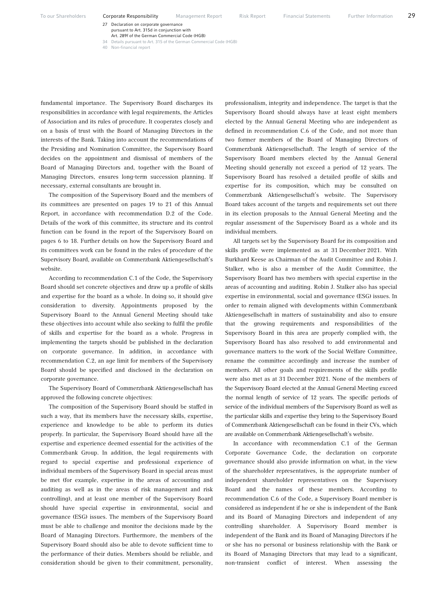To our Shareholders **Corporate Responsibility** Management Report Risk Report Financial Statements Further Information 29

27 Declaration on corporate governance

pursuant to Art. 315d in conjunction with

Art. 289f of the German Commercial Code (HGB)<br>Details pursuant to Art. 315 of the German Commercial Code (HGB) 34 Details pursuant to Art. 315 of the German Con

40 Non-financial report

fundamental importance. The Supervisory Board discharges its responsibilities in accordance with legal requirements, the Articles of Association and its rules of procedure. It cooperates closely and on a basis of trust with the Board of Managing Directors in the interests of the Bank. Taking into account the recommendations of the Presiding and Nomination Committee, the Supervisory Board decides on the appointment and dismissal of members of the Board of Managing Directors and, together with the Board of Managing Directors, ensures long-term succession planning. If necessary, external consultants are brought in.

The composition of the Supervisory Board and the members of its committees are presented on pages 19 to 21 of this Annual Report, in accordance with recommendation D.2 of the Code. Details of the work of this committee, its structure and its control function can be found in the report of the Supervisory Board on pages 6 to 18. Further details on how the Supervisory Board and its committees work can be found in the rules of procedure of the Supervisory Board, available on Commerzbank Aktiengesellschaft's website.

According to recommendation C.1 of the Code, the Supervisory Board should set concrete objectives and draw up a profile of skills and expertise for the board as a whole. In doing so, it should give consideration to diversity. Appointments proposed by the Supervisory Board to the Annual General Meeting should take these objectives into account while also seeking to fulfil the profile of skills and expertise for the board as a whole. Progress in implementing the targets should be published in the declaration on corporate governance. In addition, in accordance with recommendation C.2, an age limit for members of the Supervisory Board should be specified and disclosed in the declaration on corporate governance.

The Supervisory Board of Commerzbank Aktiengesellschaft has approved the following concrete objectives:

The composition of the Supervisory Board should be staffed in such a way, that its members have the necessary skills, expertise, experience and knowledge to be able to perform its duties properly. In particular, the Supervisory Board should have all the expertise and experience deemed essential for the activities of the Commerzbank Group. In addition, the legal requirements with regard to special expertise and professional experience of individual members of the Supervisory Board in special areas must be met (for example, expertise in the areas of accounting and auditing as well as in the areas of risk management and risk controlling), and at least one member of the Supervisory Board should have special expertise in environmental, social and governance (ESG) issues. The members of the Supervisory Board must be able to challenge and monitor the decisions made by the Board of Managing Directors. Furthermore, the members of the Supervisory Board should also be able to devote sufficient time to the performance of their duties. Members should be reliable, and consideration should be given to their commitment, personality,

professionalism, integrity and independence. The target is that the Supervisory Board should always have at least eight members elected by the Annual General Meeting who are independent as defined in recommendation C.6 of the Code, and not more than two former members of the Board of Managing Directors of Commerzbank Aktiengesellschaft. The length of service of the Supervisory Board members elected by the Annual General Meeting should generally not exceed a period of 12 years. The Supervisory Board has resolved a detailed profile of skills and expertise for its composition, which may be consulted on Commerzbank Aktiengesellschaft's website. The Supervisory Board takes account of the targets and requirements set out there in its election proposals to the Annual General Meeting and the regular assessment of the Supervisory Board as a whole and its individual members.

All targets set by the Supervisory Board for its composition and skills profile were implemented as at 31 December 2021. With Burkhard Keese as Chairman of the Audit Committee and Robin J. Stalker, who is also a member of the Audit Committee, the Supervisory Board has two members with special expertise in the areas of accounting and auditing. Robin J. Stalker also has special expertise in environmental, social and governance (ESG) issues. In order to remain aligned with developments within Commerzbank Aktiengesellschaft in matters of sustainability and also to ensure that the growing requirements and responsibilities of the Supervisory Board in this area are properly complied with, the Supervisory Board has also resolved to add environmental and governance matters to the work of the Social Welfare Committee, rename the committee accordingly and increase the number of members. All other goals and requirements of the skills profile were also met as at 31 December 2021. None of the members of the Supervisory Board elected at the Annual General Meeting exceed the normal length of service of 12 years. The specific periods of service of the individual members of the Supervisory Board as well as the particular skills and expertise they bring to the Supervisory Board of Commerzbank Aktiengesellschaft can be found in their CVs, which are available on Commerzbank Aktiengesellschaft's website.

In accordance with recommendation C.1 of the German Corporate Governance Code, the declaration on corporate governance should also provide information on what, in the view of the shareholder representatives, is the appropriate number of independent shareholder representatives on the Supervisory Board and the names of these members. According to recommendation C.6 of the Code, a Supervisory Board member is considered as independent if he or she is independent of the Bank and its Board of Managing Directors and independent of any controlling shareholder. A Supervisory Board member is independent of the Bank and its Board of Managing Directors if he or she has no personal or business relationship with the Bank or its Board of Managing Directors that may lead to a significant, non-transient conflict of interest. When assessing the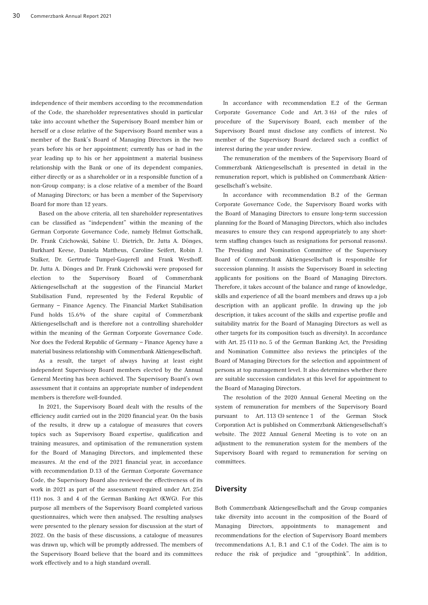independence of their members according to the recommendation of the Code, the shareholder representatives should in particular take into account whether the Supervisory Board member him or herself or a close relative of the Supervisory Board member was a member of the Bank's Board of Managing Directors in the two years before his or her appointment; currently has or had in the year leading up to his or her appointment a material business relationship with the Bank or one of its dependent companies, either directly or as a shareholder or in a responsible function of a non-Group company; is a close relative of a member of the Board of Managing Directors; or has been a member of the Supervisory Board for more than 12 years.

Based on the above criteria, all ten shareholder representatives can be classified as "independent" within the meaning of the German Corporate Governance Code, namely Helmut Gottschalk, Dr. Frank Czichowski, Sabine U. Dietrich, Dr. Jutta A. Dönges, Burkhard Keese, Daniela Mattheus, Caroline Seifert, Robin J. Stalker, Dr. Gertrude Tumpel-Gugerell and Frank Westhoff. Dr. Jutta A. Dönges and Dr. Frank Czichowski were proposed for election to the Supervisory Board of Commerzbank Aktiengesellschaft at the suggestion of the Financial Market Stabilisation Fund, represented by the Federal Republic of Germany – Finance Agency. The Financial Market Stabilisation Fund holds 15.6% of the share capital of Commerzbank Aktiengesellschaft and is therefore not a controlling shareholder within the meaning of the German Corporate Governance Code. Nor does the Federal Republic of Germany – Finance Agency have a material business relationship with Commerzbank Aktiengesellschaft.

As a result, the target of always having at least eight independent Supervisory Board members elected by the Annual General Meeting has been achieved. The Supervisory Board's own assessment that it contains an appropriate number of independent members is therefore well-founded.

In 2021, the Supervisory Board dealt with the results of the efficiency audit carried out in the 2020 financial year. On the basis of the results, it drew up a catalogue of measures that covers topics such as Supervisory Board expertise, qualification and training measures, and optimisation of the remuneration system for the Board of Managing Directors, and implemented these measures. At the end of the 2021 financial year, in accordance with recommendation D.13 of the German Corporate Governance Code, the Supervisory Board also reviewed the effectiveness of its work in 2021 as part of the assessment required under Art. 25d (11) nos. 3 and 4 of the German Banking Act (KWG). For this purpose all members of the Supervisory Board completed various questionnaires, which were then analysed. The resulting analyses were presented to the plenary session for discussion at the start of 2022. On the basis of these discussions, a catalogue of measures was drawn up, which will be promptly addressed. The members of the Supervisory Board believe that the board and its committees work effectively and to a high standard overall.

In accordance with recommendation E.2 of the German Corporate Governance Code and Art. 3 (6) of the rules of procedure of the Supervisory Board, each member of the Supervisory Board must disclose any conflicts of interest. No member of the Supervisory Board declared such a conflict of interest during the year under review.

The remuneration of the members of the Supervisory Board of Commerzbank Aktiengesellschaft is presented in detail in the remuneration report, which is published on Commerzbank Aktiengesellschaft's website.

In accordance with recommendation B.2 of the German Corporate Governance Code, the Supervisory Board works with the Board of Managing Directors to ensure long-term succession planning for the Board of Managing Directors, which also includes measures to ensure they can respond appropriately to any shortterm staffing changes (such as resignations for personal reasons). The Presiding and Nomination Committee of the Supervisory Board of Commerzbank Aktiengesellschaft is responsible for succession planning. It assists the Supervisory Board in selecting applicants for positions on the Board of Managing Directors. Therefore, it takes account of the balance and range of knowledge, skills and experience of all the board members and draws up a job description with an applicant profile. In drawing up the job description, it takes account of the skills and expertise profile and suitability matrix for the Board of Managing Directors as well as other targets for its composition (such as diversity). In accordance with Art. 25 (11) no. 5 of the German Banking Act, the Presiding and Nomination Committee also reviews the principles of the Board of Managing Directors for the selection and appointment of persons at top management level. It also determines whether there are suitable succession candidates at this level for appointment to the Board of Managing Directors.

The resolution of the 2020 Annual General Meeting on the system of remuneration for members of the Supervisory Board pursuant to Art. 113 (3) sentence 1 of the German Stock Corporation Act is published on Commerzbank Aktiengesellschaft's website. The 2022 Annual General Meeting is to vote on an adjustment to the remuneration system for the members of the Supervisory Board with regard to remuneration for serving on committees.

#### **Diversity**

Both Commerzbank Aktiengesellschaft and the Group companies take diversity into account in the composition of the Board of Managing Directors, appointments to management and recommendations for the election of Supervisory Board members (recommendations A.1, B.1 and C.1 of the Code). The aim is to reduce the risk of prejudice and "groupthink". In addition,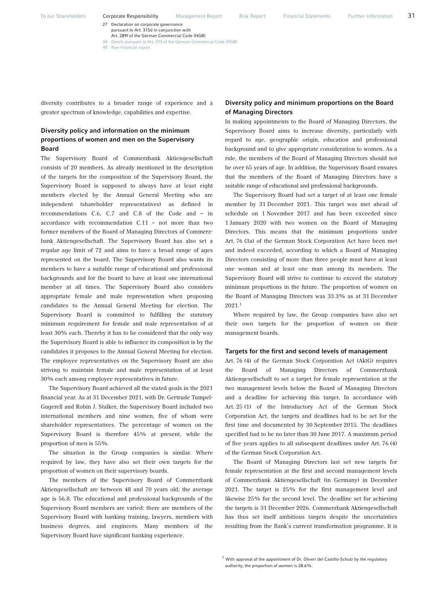To our Shareholders **Corporate Responsibility** Management Report Risk Report Financial Statements Further Information 31

27 Declaration on corporate governance pursuant to Art. 315d in conjunction with

Art. 289f of the German Commercial Code (HGB)<br>Details pursuant to Art. 315 of the German Commercial Code (HGB) 34 Details pursuant to Art. 315 of the German Con

40 Non-financial report

diversity contributes to a broader range of experience and a greater spectrum of knowledge, capabilities and expertise.

## Diversity policy and information on the minimum proportions of women and men on the Supervisory Board

The Supervisory Board of Commerzbank Aktiengesellschaft consists of 20 members. As already mentioned in the description of the targets for the composition of the Supervisory Board, the Supervisory Board is supposed to always have at least eight members elected by the Annual General Meeting who are independent (shareholder representatives) as defined in recommendations C.6, C.7 and C.8 of the Code and – in accordance with recommendation C.11 – not more than two former members of the Board of Managing Directors of Commerzbank Aktiengesellschaft. The Supervisory Board has also set a regular age limit of 72 and aims to have a broad range of ages represented on the board. The Supervisory Board also wants its members to have a suitable range of educational and professional backgrounds and for the board to have at least one international member at all times. The Supervisory Board also considers appropriate female and male representation when proposing candidates to the Annual General Meeting for election. The Supervisory Board is committed to fulfilling the statutory minimum requirement for female and male representation of at least 30% each. Thereby it has to be considered that the only way the Supervisory Board is able to influence its composition is by the candidates it proposes to the Annual General Meeting for election. The employee representatives on the Supervisory Board are also striving to maintain female and male representation of at least 30% each among employee representatives in future.

The Supervisory Board achieved all the stated goals in the 2021 financial year. As at 31 December 2021, with Dr. Gertrude Tumpel-Gugerell and Robin J. Stalker, the Supervisory Board included two international members and nine women, five of whom were shareholder representatives. The percentage of women on the Supervisory Board is therefore 45% at present, while the proportion of men is 55%.

The situation in the Group companies is similar. Where required by law, they have also set their own targets for the proportion of women on their supervisory boards.

The members of the Supervisory Board of Commerzbank Aktiengesellschaft are between 48 and 70 years old; the average age is 56.8. The educational and professional backgrounds of the Supervisory Board members are varied: there are members of the Supervisory Board with banking training, lawyers, members with business degrees, and engineers. Many members of the Supervisory Board have significant banking experience.

### Diversity policy and minimum proportions on the Board of Managing Directors

In making appointments to the Board of Managing Directors, the Supervisory Board aims to increase diversity, particularly with regard to age, geographic origin, education and professional background and to give appropriate consideration to women. As a rule, the members of the Board of Managing Directors should not be over 65 years of age. In addition, the Supervisory Board ensures that the members of the Board of Managing Directors have a suitable range of educational and professional backgrounds.

The Supervisory Board had set a target of at least one female member by 31 December 2021. This target was met ahead of schedule on 1 November 2017 and has been exceeded since 1 January 2020 with two women on the Board of Managing Directors. This means that the minimum proportions under Art. 76 (3a) of the German Stock Corporation Act have been met and indeed exceeded, according to which a Board of Managing Directors consisting of more than three people must have at least one woman and at least one man among its members. The Supervisory Board will strive to continue to exceed the statutory minimum proportions in the future. The proportion of women on the Board of Managing Directors was 33.3% as at 31 December 2021.1

Where required by law, the Group companies have also set their own targets for the proportion of women on their management boards.

#### Targets for the first and second levels of management

Art. 76 (4) of the German Stock Corporation Act (AktG) requires the Board of Managing Directors of Commerzbank Aktiengesellschaft to set a target for female representation at the two management levels below the Board of Managing Directors and a deadline for achieving this target. In accordance with Art. 25 (1) of the Introductory Act of the German Stock Corporation Act, the targets and deadlines had to be set for the first time and documented by 30 September 2015. The deadlines specified had to be no later than 30 June 2017. A maximum period of five years applies to all subsequent deadlines under Art. 76 (4) of the German Stock Corporation Act.

The Board of Managing Directors last set new targets for female representation at the first and second management levels of Commerzbank Aktiengesellschaft (in Germany) in December 2021. The target is 25% for the first management level and likewise 25% for the second level. The deadline set for achieving the targets is 31 December 2026. Commerzbank Aktiengesellschaft has thus set itself ambitious targets despite the uncertainties resulting from the Bank's current transformation programme. It is

 $1$  With approval of the appointment of Dr. Oliveri del Castillo-Schulz by the regulatory authority, the proportion of women is 28.6%.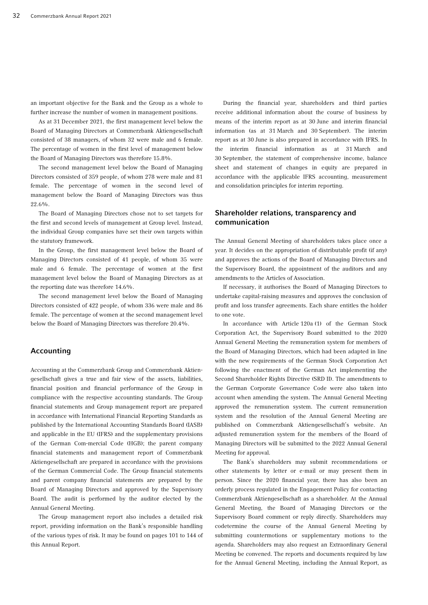an important objective for the Bank and the Group as a whole to further increase the number of women in management positions.

As at 31 December 2021, the first management level below the Board of Managing Directors at Commerzbank Aktiengesellschaft consisted of 38 managers, of whom 32 were male and 6 female. The percentage of women in the first level of management below the Board of Managing Directors was therefore 15.8%.

The second management level below the Board of Managing Directors consisted of 359 people, of whom 278 were male and 81 female. The percentage of women in the second level of management below the Board of Managing Directors was thus 22.6%.

The Board of Managing Directors chose not to set targets for the first and second levels of management at Group level. Instead, the individual Group companies have set their own targets within the statutory framework.

In the Group, the first management level below the Board of Managing Directors consisted of 41 people, of whom 35 were male and 6 female. The percentage of women at the first management level below the Board of Managing Directors as at the reporting date was therefore 14.6%.

The second management level below the Board of Managing Directors consisted of 422 people, of whom 336 were male and 86 female. The percentage of women at the second management level below the Board of Managing Directors was therefore 20.4%.

## Accounting

Accounting at the Commerzbank Group and Commerzbank Aktiengesellschaft gives a true and fair view of the assets, liabilities, financial position and financial performance of the Group in compliance with the respective accounting standards. The Group financial statements and Group management report are prepared in accordance with International Financial Reporting Standards as published by the International Accounting Standards Board (IASB) and applicable in the EU (IFRS) and the supplementary provisions of the German Com-mercial Code (HGB); the parent company financial statements and management report of Commerzbank Aktiengesellschaft are prepared in accordance with the provisions of the German Commercial Code. The Group financial statements and parent company financial statements are prepared by the Board of Managing Directors and approved by the Supervisory Board. The audit is performed by the auditor elected by the Annual General Meeting.

The Group management report also includes a detailed risk report, providing information on the Bank's responsible handling of the various types of risk. It may be found on pages 101 to 144 of this Annual Report.

During the financial year, shareholders and third parties receive additional information about the course of business by means of the interim report as at 30 June and interim financial information (as at 31 March and 30 September). The interim report as at 30 June is also prepared in accordance with IFRS. In the interim financial information as at 31 March and 30 September, the statement of comprehensive income, balance sheet and statement of changes in equity are prepared in accordance with the applicable IFRS accounting, measurement and consolidation principles for interim reporting.

## Shareholder relations, transparency and communication

The Annual General Meeting of shareholders takes place once a year. It decides on the appropriation of distributable profit (if any) and approves the actions of the Board of Managing Directors and the Supervisory Board, the appointment of the auditors and any amendments to the Articles of Association.

If necessary, it authorises the Board of Managing Directors to undertake capital-raising measures and approves the conclusion of profit and loss transfer agreements. Each share entitles the holder to one vote.

In accordance with Article 120a (1) of the German Stock Corporation Act, the Supervisory Board submitted to the 2020 Annual General Meeting the remuneration system for members of the Board of Managing Directors, which had been adapted in line with the new requirements of the German Stock Corporation Act following the enactment of the German Act implementing the Second Shareholder Rights Directive (SRD II). The amendments to the German Corporate Governance Code were also taken into account when amending the system. The Annual General Meeting approved the remuneration system. The current remuneration system and the resolution of the Annual General Meeting are published on Commerzbank Aktiengesellschaft's website. An adjusted remuneration system for the members of the Board of Managing Directors will be submitted to the 2022 Annual General Meeting for approval.

The Bank's shareholders may submit recommendations or other statements by letter or e-mail or may present them in person. Since the 2020 financial year, there has also been an orderly process regulated in the Engagement Policy for contacting Commerzbank Aktiengesellschaft as a shareholder. At the Annual General Meeting, the Board of Managing Directors or the Supervisory Board comment or reply directly. Shareholders may codetermine the course of the Annual General Meeting by submitting countermotions or supplementary motions to the agenda. Shareholders may also request an Extraordinary General Meeting be convened. The reports and documents required by law for the Annual General Meeting, including the Annual Report, as